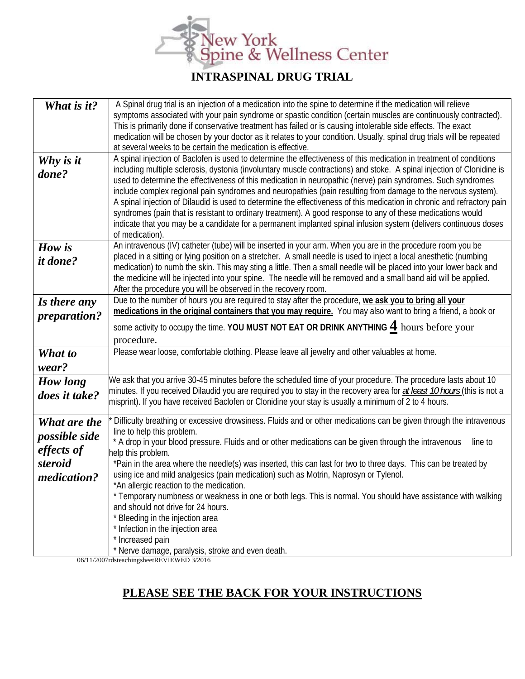

## **INTRASPINAL DRUG TRIAL**

| What is it?     | A Spinal drug trial is an injection of a medication into the spine to determine if the medication will relieve                  |  |
|-----------------|---------------------------------------------------------------------------------------------------------------------------------|--|
|                 | symptoms associated with your pain syndrome or spastic condition (certain muscles are continuously contracted).                 |  |
|                 |                                                                                                                                 |  |
|                 | This is primarily done if conservative treatment has failed or is causing intolerable side effects. The exact                   |  |
|                 | medication will be chosen by your doctor as it relates to your condition. Usually, spinal drug trials will be repeated          |  |
|                 | at several weeks to be certain the medication is effective.                                                                     |  |
| Why is it       | A spinal injection of Baclofen is used to determine the effectiveness of this medication in treatment of conditions             |  |
|                 | including multiple sclerosis, dystonia (involuntary muscle contractions) and stoke. A spinal injection of Clonidine is          |  |
| done?           | used to determine the effectiveness of this medication in neuropathic (nerve) pain syndromes. Such syndromes                    |  |
|                 | include complex regional pain syndromes and neuropathies (pain resulting from damage to the nervous system).                    |  |
|                 |                                                                                                                                 |  |
|                 | A spinal injection of Dilaudid is used to determine the effectiveness of this medication in chronic and refractory pain         |  |
|                 | syndromes (pain that is resistant to ordinary treatment). A good response to any of these medications would                     |  |
|                 | indicate that you may be a candidate for a permanent implanted spinal infusion system (delivers continuous doses                |  |
|                 | of medication).                                                                                                                 |  |
| How is          | An intravenous (IV) catheter (tube) will be inserted in your arm. When you are in the procedure room you be                     |  |
|                 | placed in a sitting or lying position on a stretcher. A small needle is used to inject a local anesthetic (numbing              |  |
| <i>it done?</i> | medication) to numb the skin. This may sting a little. Then a small needle will be placed into your lower back and              |  |
|                 | the medicine will be injected into your spine. The needle will be removed and a small band aid will be applied.                 |  |
|                 |                                                                                                                                 |  |
|                 | After the procedure you will be observed in the recovery room.                                                                  |  |
| Is there any    | Due to the number of hours you are required to stay after the procedure, we ask you to bring all your                           |  |
| preparation?    | medications in the original containers that you may require. You may also want to bring a friend, a book or                     |  |
|                 | some activity to occupy the time. YOU MUST NOT EAT OR DRINK ANYTHING $4$ hours before your                                      |  |
|                 |                                                                                                                                 |  |
|                 | procedure.                                                                                                                      |  |
| What to         | Please wear loose, comfortable clothing. Please leave all jewelry and other valuables at home.                                  |  |
| wear?           |                                                                                                                                 |  |
|                 |                                                                                                                                 |  |
| How long        | We ask that you arrive 30-45 minutes before the scheduled time of your procedure. The procedure lasts about 10                  |  |
| does it take?   | minutes. If you received Dilaudid you are required you to stay in the recovery area for <i>at least 10 hours</i> (this is not a |  |
|                 | misprint). If you have received Baclofen or Clonidine your stay is usually a minimum of 2 to 4 hours.                           |  |
|                 |                                                                                                                                 |  |
| What are the    | Difficulty breathing or excessive drowsiness. Fluids and or other medications can be given through the intravenous              |  |
| possible side   | line to help this problem.                                                                                                      |  |
|                 | * A drop in your blood pressure. Fluids and or other medications can be given through the intravenous<br>line to                |  |
| effects of      | help this problem.                                                                                                              |  |
| steroid         | *Pain in the area where the needle(s) was inserted, this can last for two to three days. This can be treated by                 |  |
| medication?     | using ice and mild analgesics (pain medication) such as Motrin, Naprosyn or Tylenol.                                            |  |
|                 | *An allergic reaction to the medication.                                                                                        |  |
|                 | * Temporary numbness or weakness in one or both legs. This is normal. You should have assistance with walking                   |  |
|                 | and should not drive for 24 hours.                                                                                              |  |
|                 |                                                                                                                                 |  |
|                 | Bleeding in the injection area                                                                                                  |  |
|                 | Infection in the injection area                                                                                                 |  |
|                 | Increased pain                                                                                                                  |  |
|                 | Nerve damage, paralysis, stroke and even death.                                                                                 |  |

06/11/2007rdsteachingsheetREVIEWED 3/2016

## **PLEASE SEE THE BACK FOR YOUR INSTRUCTIONS**